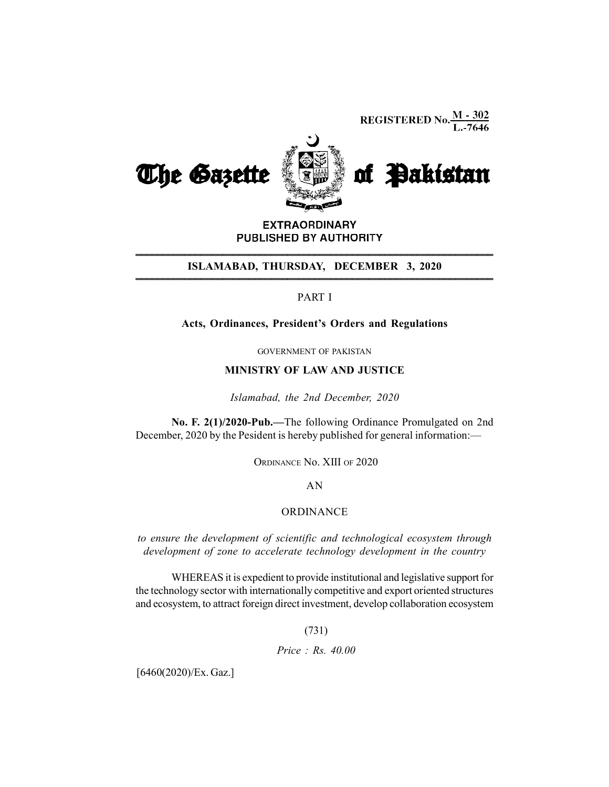**REGISTERED No.**  $\frac{M - 302}{L - 7646}$ 



**EXTRAORDINARY** PUBLISHED BY AUTHORITY \_\_\_\_\_\_\_\_\_\_\_\_\_\_\_\_\_\_\_\_\_\_\_\_\_\_\_\_\_\_\_\_\_\_\_\_\_\_\_\_\_\_\_\_\_\_\_\_\_\_\_\_\_\_\_\_\_\_\_\_\_\_\_\_\_\_ \_\_\_\_\_\_\_\_\_\_\_\_\_\_\_\_\_\_\_\_\_\_\_\_\_\_\_\_\_\_\_\_\_\_\_\_\_\_\_\_\_\_\_\_\_\_\_\_\_\_\_\_\_\_\_\_\_\_\_\_\_\_\_\_\_\_

# ISLAMABAD, THURSDAY, DECEMBER 3, 2020

## PART I

### Acts, Ordinances, President's Orders and Regulations

GOVERNMENT OF PAKISTAN

#### MINISTRY OF LAW AND JUSTICE

Islamabad, the 2nd December, 2020

No. F. 2(1)/2020-Pub.—The following Ordinance Promulgated on 2nd December, 2020 by the Pesident is hereby published for general information:—

ORDINANCE No. XIII OF 2020

AN

#### ORDINANCE

to ensure the development of scientific and technological ecosystem through development of zone to accelerate technology development in the country

WHEREAS it is expedient to provide institutional and legislative support for the technology sector with internationally competitive and export oriented structures and ecosystem, to attract foreign direct investment, develop collaboration ecosystem

(731)

Price : Rs. 40.00

[6460(2020)/Ex. Gaz.]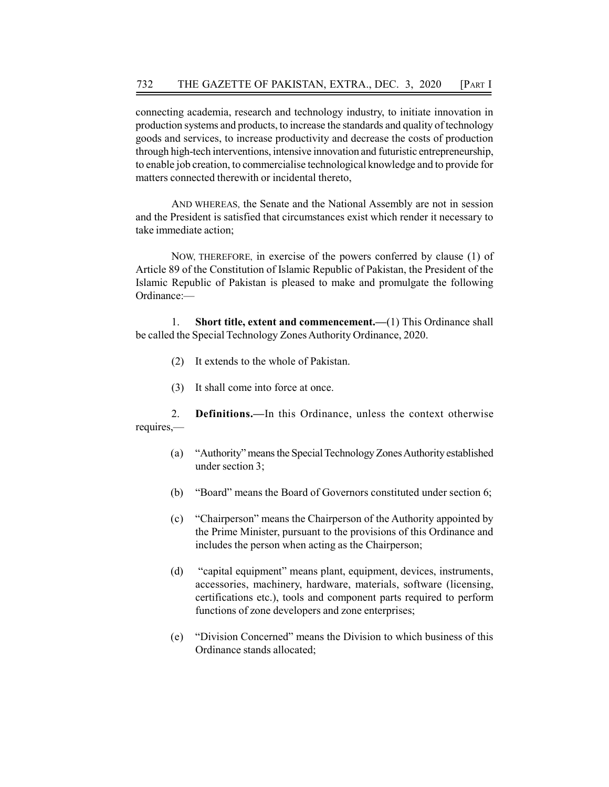connecting academia, research and technology industry, to initiate innovation in production systems and products, to increase the standards and quality of technology goods and services, to increase productivity and decrease the costs of production through high-tech interventions, intensive innovation and futuristic entrepreneurship, to enable job creation, to commercialise technological knowledge and to provide for matters connected therewith or incidental thereto,

AND WHEREAS, the Senate and the National Assembly are not in session and the President is satisfied that circumstances exist which render it necessary to take immediate action;

NOW, THEREFORE, in exercise of the powers conferred by clause (1) of Article 89 of the Constitution of Islamic Republic of Pakistan, the President of the Islamic Republic of Pakistan is pleased to make and promulgate the following Ordinance:—

1. Short title, extent and commencement.—(1) This Ordinance shall be called the Special Technology Zones Authority Ordinance, 2020.

- (2) It extends to the whole of Pakistan.
- (3) It shall come into force at once.

2. Definitions.—In this Ordinance, unless the context otherwise requires,—

- (a) "Authority" means the Special Technology Zones Authority established under section 3;
- (b) "Board" means the Board of Governors constituted under section 6;
- (c) "Chairperson" means the Chairperson of the Authority appointed by the Prime Minister, pursuant to the provisions of this Ordinance and includes the person when acting as the Chairperson;
- (d) "capital equipment" means plant, equipment, devices, instruments, accessories, machinery, hardware, materials, software (licensing, certifications etc.), tools and component parts required to perform functions of zone developers and zone enterprises;
- (e) "Division Concerned" means the Division to which business of this Ordinance stands allocated;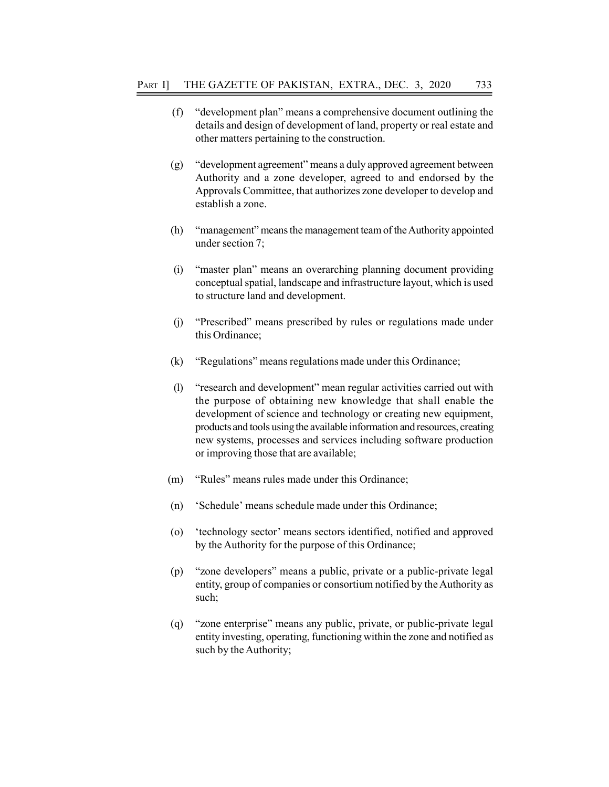- (f) "development plan" means a comprehensive document outlining the details and design of development of land, property or real estate and other matters pertaining to the construction.
- (g) "development agreement" means a duly approved agreement between Authority and a zone developer, agreed to and endorsed by the Approvals Committee, that authorizes zone developer to develop and establish a zone.
- (h) "management" means the management team of the Authority appointed under section 7;
- (i) "master plan" means an overarching planning document providing conceptual spatial, landscape and infrastructure layout, which is used to structure land and development.
- (j) "Prescribed" means prescribed by rules or regulations made under this Ordinance;
- (k) "Regulations" means regulations made under this Ordinance;
- (l) "research and development" mean regular activities carried out with the purpose of obtaining new knowledge that shall enable the development of science and technology or creating new equipment, products and tools using the available information and resources, creating new systems, processes and services including software production or improving those that are available;
- (m) "Rules" means rules made under this Ordinance;
- (n) 'Schedule' means schedule made under this Ordinance;
- (o) 'technology sector' means sectors identified, notified and approved by the Authority for the purpose of this Ordinance;
- (p) "zone developers" means a public, private or a public-private legal entity, group of companies or consortium notified by the Authority as such;
- (q) "zone enterprise" means any public, private, or public-private legal entity investing, operating, functioning within the zone and notified as such by the Authority;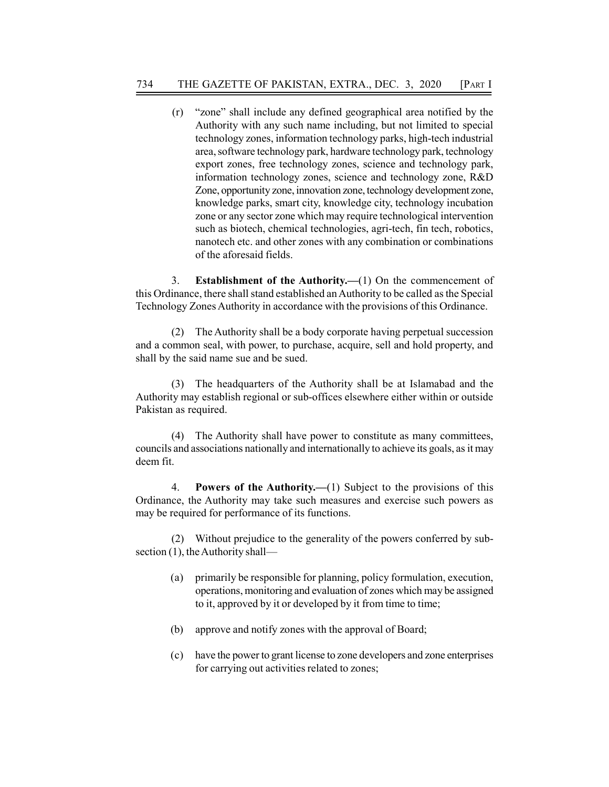(r) "zone" shall include any defined geographical area notified by the Authority with any such name including, but not limited to special technology zones, information technology parks, high-tech industrial area, software technology park, hardware technology park, technology export zones, free technology zones, science and technology park, information technology zones, science and technology zone, R&D Zone, opportunity zone, innovation zone, technology development zone, knowledge parks, smart city, knowledge city, technology incubation zone or any sector zone which may require technological intervention such as biotech, chemical technologies, agri-tech, fin tech, robotics, nanotech etc. and other zones with any combination or combinations of the aforesaid fields.

3. Establishment of the Authority.—(1) On the commencement of this Ordinance, there shall stand established an Authority to be called as the Special Technology Zones Authority in accordance with the provisions of this Ordinance.

(2) The Authority shall be a body corporate having perpetual succession and a common seal, with power, to purchase, acquire, sell and hold property, and shall by the said name sue and be sued.

(3) The headquarters of the Authority shall be at Islamabad and the Authority may establish regional or sub-offices elsewhere either within or outside Pakistan as required.

(4) The Authority shall have power to constitute as many committees, councils and associations nationally and internationally to achieve its goals, as it may deem fit.

4. Powers of the Authority.—(1) Subject to the provisions of this Ordinance, the Authority may take such measures and exercise such powers as may be required for performance of its functions.

(2) Without prejudice to the generality of the powers conferred by subsection (1), the Authority shall—

- (a) primarily be responsible for planning, policy formulation, execution, operations, monitoring and evaluation of zones which may be assigned to it, approved by it or developed by it from time to time;
- (b) approve and notify zones with the approval of Board;
- (c) have the power to grant license to zone developers and zone enterprises for carrying out activities related to zones;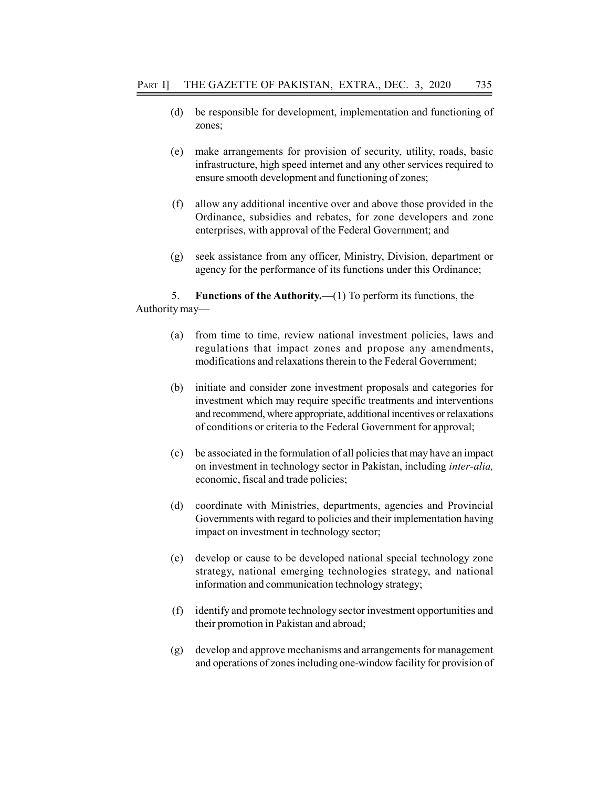- (d) be responsible for development, implementation and functioning of zones;
- (e) make arrangements for provision of security, utility, roads, basic infrastructure, high speed internet and any other services required to ensure smooth development and functioning of zones;
- (f) allow any additional incentive over and above those provided in the Ordinance, subsidies and rebates, for zone developers and zone enterprises, with approval of the Federal Government; and
- (g) seek assistance from any officer, Ministry, Division, department or agency for the performance of its functions under this Ordinance;

5. Functions of the Authority.—(1) To perform its functions, the Authority may—

- (a) from time to time, review national investment policies, laws and regulations that impact zones and propose any amendments, modifications and relaxations therein to the Federal Government;
- (b) initiate and consider zone investment proposals and categories for investment which may require specific treatments and interventions and recommend, where appropriate, additional incentives or relaxations of conditions or criteria to the Federal Government for approval;
- (c) be associated in the formulation of all policies that may have an impact on investment in technology sector in Pakistan, including inter-alia, economic, fiscal and trade policies;
- (d) coordinate with Ministries, departments, agencies and Provincial Governments with regard to policies and their implementation having impact on investment in technology sector;
- (e) develop or cause to be developed national special technology zone strategy, national emerging technologies strategy, and national information and communication technology strategy;
- (f) identify and promote technology sector investment opportunities and their promotion in Pakistan and abroad;
- (g) develop and approve mechanisms and arrangements for management and operations of zones including one-window facility for provision of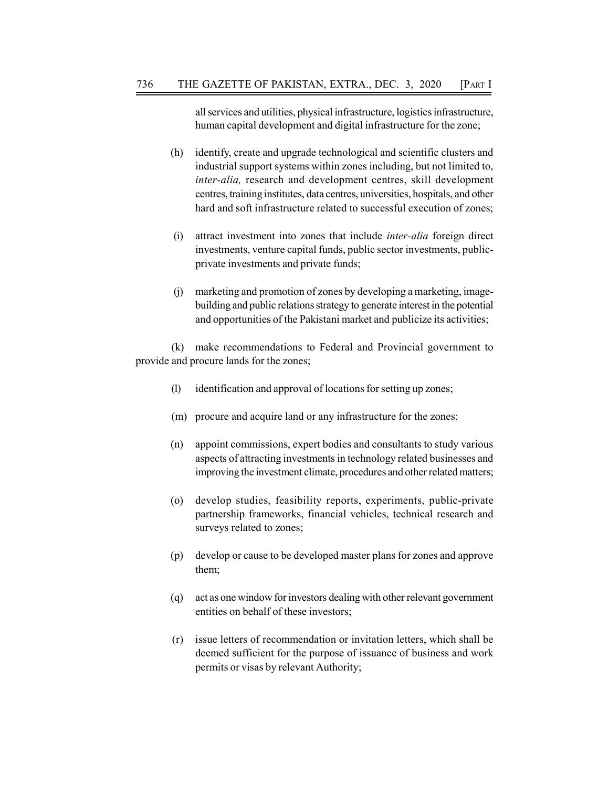all services and utilities, physical infrastructure, logistics infrastructure, human capital development and digital infrastructure for the zone;

- (h) identify, create and upgrade technological and scientific clusters and industrial support systems within zones including, but not limited to, inter-alia, research and development centres, skill development centres, training institutes, data centres, universities, hospitals, and other hard and soft infrastructure related to successful execution of zones;
- (i) attract investment into zones that include inter-alia foreign direct investments, venture capital funds, public sector investments, publicprivate investments and private funds;
- (j) marketing and promotion of zones by developing a marketing, imagebuilding and public relations strategy to generate interest in the potential and opportunities of the Pakistani market and publicize its activities;

(k) make recommendations to Federal and Provincial government to provide and procure lands for the zones;

- (l) identification and approval of locations for setting up zones;
- (m) procure and acquire land or any infrastructure for the zones;
- (n) appoint commissions, expert bodies and consultants to study various aspects of attracting investments in technology related businesses and improving the investment climate, procedures and other related matters;
- (o) develop studies, feasibility reports, experiments, public-private partnership frameworks, financial vehicles, technical research and surveys related to zones;
- (p) develop or cause to be developed master plans for zones and approve them;
- (q) act as one window for investors dealing with other relevant government entities on behalf of these investors;
- (r) issue letters of recommendation or invitation letters, which shall be deemed sufficient for the purpose of issuance of business and work permits or visas by relevant Authority;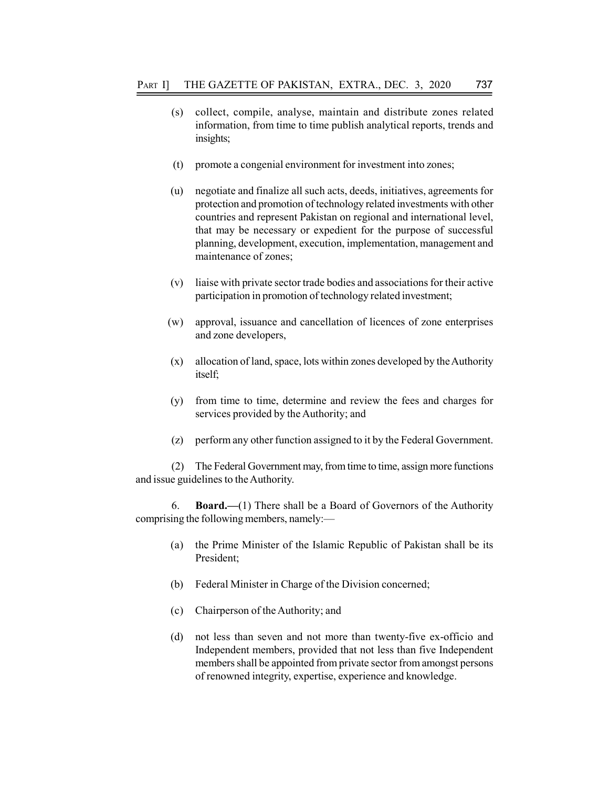- (s) collect, compile, analyse, maintain and distribute zones related information, from time to time publish analytical reports, trends and insights;
- (t) promote a congenial environment for investment into zones;
- (u) negotiate and finalize all such acts, deeds, initiatives, agreements for protection and promotion of technology related investments with other countries and represent Pakistan on regional and international level, that may be necessary or expedient for the purpose of successful planning, development, execution, implementation, management and maintenance of zones;
- (v) liaise with private sector trade bodies and associations for their active participation in promotion of technology related investment;
- (w) approval, issuance and cancellation of licences of zone enterprises and zone developers,
- (x) allocation of land, space, lots within zones developed by the Authority itself;
- (y) from time to time, determine and review the fees and charges for services provided by the Authority; and
- (z) perform any other function assigned to it by the Federal Government.

(2) The Federal Government may, from time to time, assign more functions and issue guidelines to the Authority.

6. Board.—(1) There shall be a Board of Governors of the Authority comprising the following members, namely:—

- (a) the Prime Minister of the Islamic Republic of Pakistan shall be its President;
- (b) Federal Minister in Charge of the Division concerned;
- (c) Chairperson of the Authority; and
- (d) not less than seven and not more than twenty-five ex-officio and Independent members, provided that not less than five Independent members shall be appointed from private sector from amongst persons of renowned integrity, expertise, experience and knowledge.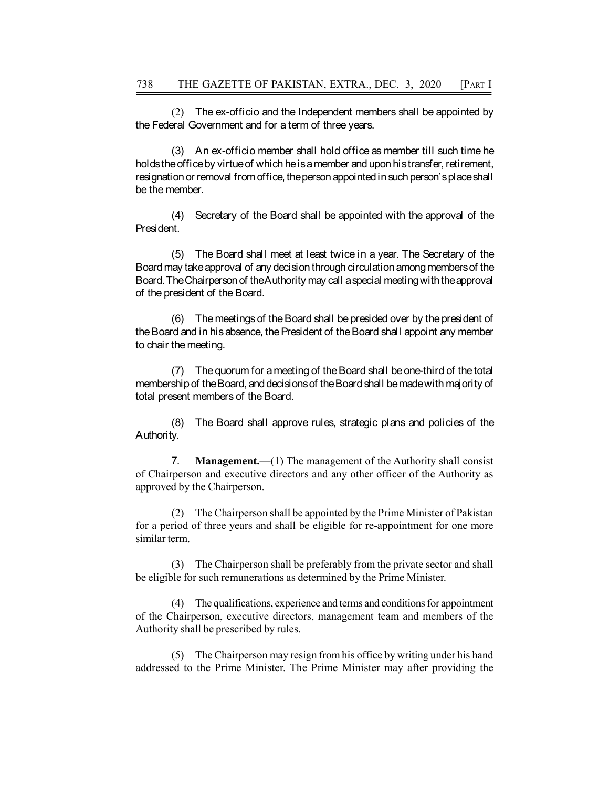(2) The ex-officio and the Independent members shall be appointed by the Federal Government and for a term of three years.

THE GAZETTE OF PAKISTAN, EXTRA., DEC. 3, 2020 [PART I]<br>
(2) The ex-officio and the Independent members shall be appointed by<br>
and Government and for a term of three years.<br>
(3) An ex-officio member shall hold office as mem holds the office by virtue of which he is a member and upon his transfer, retirement, resignation or removal from office, the person appointed in such person's place shall be the member. THE GAZETTE OF PAKISTAN, EXTRA., DEC. 3, 2020 [PART I]<br>
(2) The ex-officio and the Independent members shall be appointed by<br>
star Government and for a term of three years.<br>
(3) An ex-officio member shall hold office as me

President.

THE GAZETTE OF PAKISTAN, EXTRA., DEC. 3, 2020 [PART]<br>
(2) The ex-officio and the Independent members shall be appointed by<br>
rail Government and for a term of three years.<br>
(3) An ex-officio member shall hold office as memb Board may take approval of any decision through circulation among members of the Board. The Chairperson of the Authority may call a special meeting with the approval of the president of the Board. THE GAZETTE OF PAKISTAN, EXTRA., DEC. 3, 2020 [PART]<br>
(2) The ex-officio and the Independent members shall be appointed by<br>
and Government and for a term of three years.<br>
(3) An ex-officio member shall hold office as memb (2) The ex-officio and the independent members shall be appointed by<br>and Government and for a term of three years.<br>
(3) An ex-officio member shall hold office as member till such time he<br>eoffice by virtue of which he is am eoffice by virtue of wind meissamember and upon his transfer, retirement,<br>for one removal from office, the person appointed in such person's placeshall<br>nember.<br>(4) Secretary of the Board shall be appointed with the approva

the Board and in his absence, the President of the Board shall appoint any member to chair the meeting.

membership of the Board, and decisions of the Board shall be made with majority of total present members of the Board.

Authority.

7. Management.—(1) The management of the Authority shall consist of Chairperson and executive directors and any other officer of the Authority as approved by the Chairperson.

(2) The Chairperson shall be appointed by the Prime Minister of Pakistan for a period of three years and shall be eligible for re-appointment for one more similar term.

(3) The Chairperson shall be preferably from the private sector and shall be eligible for such remunerations as determined by the Prime Minister.

(4) The qualifications, experience and terms and conditions for appointment of the Chairperson, executive directors, management team and members of the Authority shall be prescribed by rules.

(5) The Chairperson may resign from his office by writing under his hand addressed to the Prime Minister. The Prime Minister may after providing the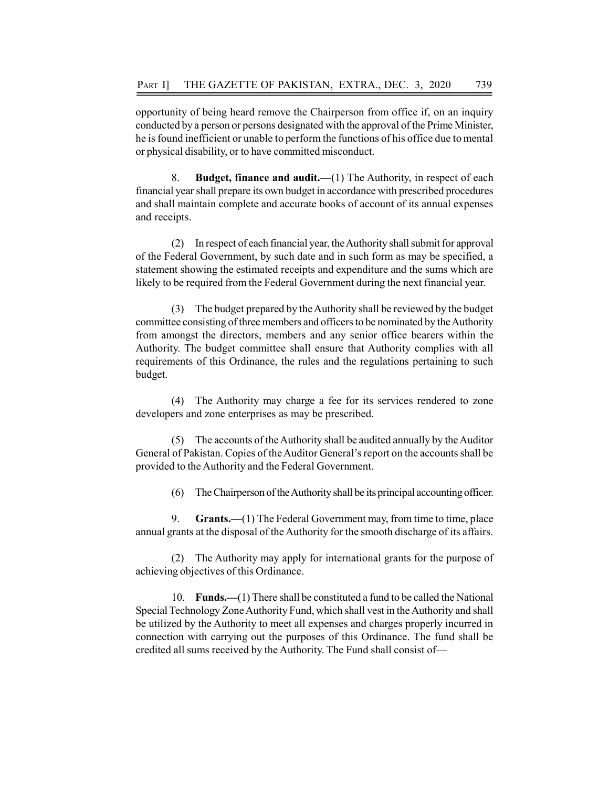opportunity of being heard remove the Chairperson from office if, on an inquiry conducted by a person or persons designated with the approval of the Prime Minister, he is found inefficient or unable to perform the functions of his office due to mental or physical disability, or to have committed misconduct.

8. Budget, finance and audit.—(1) The Authority, in respect of each financial year shall prepare its own budget in accordance with prescribed procedures and shall maintain complete and accurate books of account of its annual expenses and receipts.

(2) In respect of each financial year, the Authority shall submit for approval of the Federal Government, by such date and in such form as may be specified, a statement showing the estimated receipts and expenditure and the sums which are likely to be required from the Federal Government during the next financial year.

(3) The budget prepared by the Authority shall be reviewed by the budget committee consisting of three members and officers to be nominated by the Authority from amongst the directors, members and any senior office bearers within the Authority. The budget committee shall ensure that Authority complies with all requirements of this Ordinance, the rules and the regulations pertaining to such budget.

(4) The Authority may charge a fee for its services rendered to zone developers and zone enterprises as may be prescribed.

(5) The accounts of the Authority shall be audited annually by the Auditor General of Pakistan. Copies of the Auditor General's report on the accounts shall be provided to the Authority and the Federal Government.

(6) The Chairperson of the Authority shall be its principal accounting officer.

9. Grants.—(1) The Federal Government may, from time to time, place annual grants at the disposal of the Authority for the smooth discharge of its affairs.

(2) The Authority may apply for international grants for the purpose of achieving objectives of this Ordinance.

10. Funds.—(1) There shall be constituted a fund to be called the National Special Technology Zone Authority Fund, which shall vest in the Authority and shall be utilized by the Authority to meet all expenses and charges properly incurred in connection with carrying out the purposes of this Ordinance. The fund shall be credited all sums received by the Authority. The Fund shall consist of—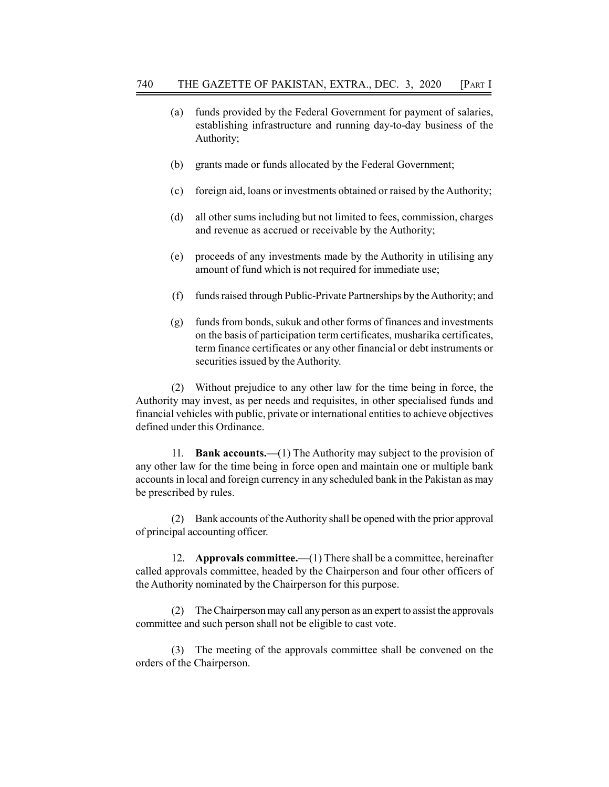- (a) funds provided by the Federal Government for payment of salaries, establishing infrastructure and running day-to-day business of the Authority;
- (b) grants made or funds allocated by the Federal Government;
- (c) foreign aid, loans or investments obtained or raised by the Authority;
- (d) all other sums including but not limited to fees, commission, charges and revenue as accrued or receivable by the Authority;
- (e) proceeds of any investments made by the Authority in utilising any amount of fund which is not required for immediate use;
- (f) funds raised through Public-Private Partnerships by the Authority; and
- (g) funds from bonds, sukuk and other forms of finances and investments on the basis of participation term certificates, musharika certificates, term finance certificates or any other financial or debt instruments or securities issued by the Authority.

(2) Without prejudice to any other law for the time being in force, the Authority may invest, as per needs and requisites, in other specialised funds and financial vehicles with public, private or international entities to achieve objectives defined under this Ordinance.

11. **Bank accounts.**—(1) The Authority may subject to the provision of any other law for the time being in force open and maintain one or multiple bank accounts in local and foreign currency in any scheduled bank in the Pakistan as may be prescribed by rules.

(2) Bank accounts of the Authority shall be opened with the prior approval of principal accounting officer.

12. Approvals committee.—(1) There shall be a committee, hereinafter called approvals committee, headed by the Chairperson and four other officers of the Authority nominated by the Chairperson for this purpose.

(2) The Chairperson may call any person as an expert to assist the approvals committee and such person shall not be eligible to cast vote.

(3) The meeting of the approvals committee shall be convened on the orders of the Chairperson.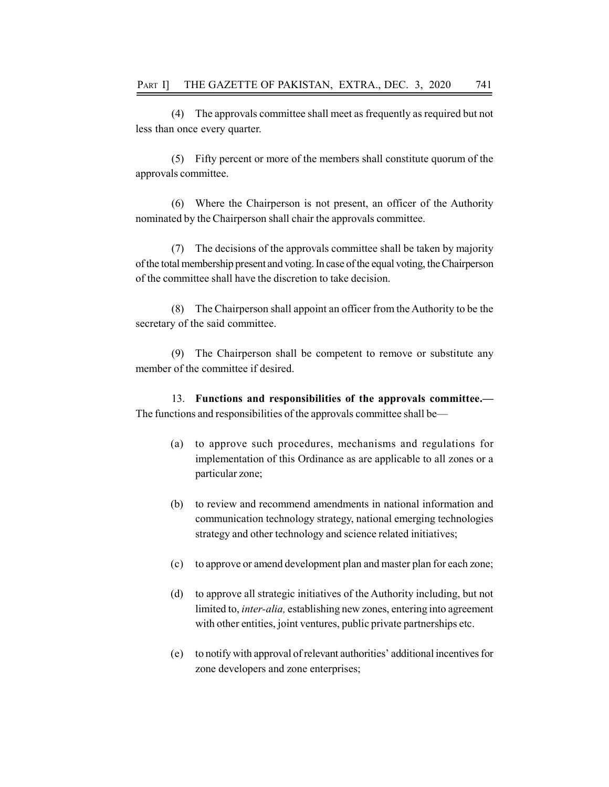(4) The approvals committee shall meet as frequently as required but not less than once every quarter.

(5) Fifty percent or more of the members shall constitute quorum of the approvals committee.

(6) Where the Chairperson is not present, an officer of the Authority nominated by the Chairperson shall chair the approvals committee.

(7) The decisions of the approvals committee shall be taken by majority of the total membership present and voting. In case of the equal voting, the Chairperson of the committee shall have the discretion to take decision.

(8) The Chairperson shall appoint an officer from the Authority to be the secretary of the said committee.

(9) The Chairperson shall be competent to remove or substitute any member of the committee if desired.

13. Functions and responsibilities of the approvals committee.— The functions and responsibilities of the approvals committee shall be—

- (a) to approve such procedures, mechanisms and regulations for implementation of this Ordinance as are applicable to all zones or a particular zone;
- (b) to review and recommend amendments in national information and communication technology strategy, national emerging technologies strategy and other technology and science related initiatives;
- (c) to approve or amend development plan and master plan for each zone;
- (d) to approve all strategic initiatives of the Authority including, but not limited to, inter-alia, establishing new zones, entering into agreement with other entities, joint ventures, public private partnerships etc.
- (e) to notify with approval of relevant authorities' additional incentives for zone developers and zone enterprises;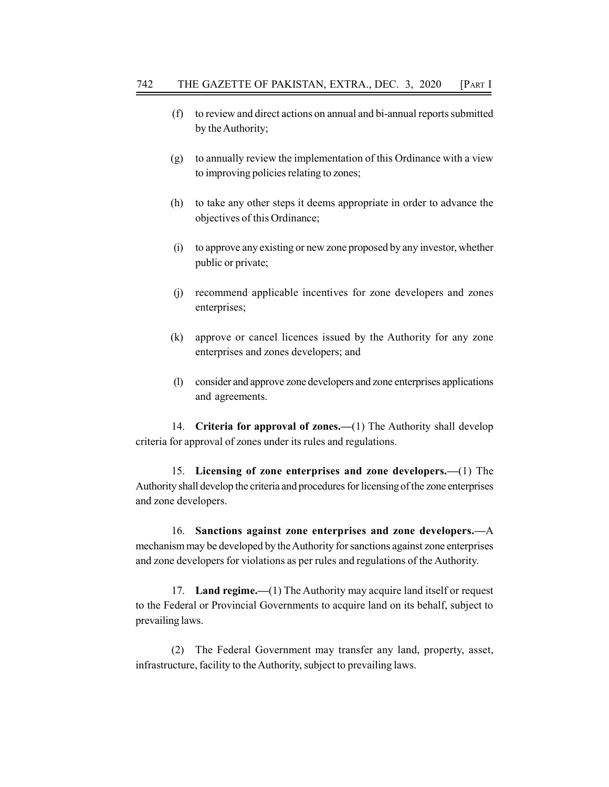- (f) to review and direct actions on annual and bi-annual reports submitted by the Authority;
- (g) to annually review the implementation of this Ordinance with a view to improving policies relating to zones;
- (h) to take any other steps it deems appropriate in order to advance the objectives of this Ordinance;
- (i) to approve any existing or new zone proposed by any investor, whether public or private;
- (j) recommend applicable incentives for zone developers and zones enterprises;
- (k) approve or cancel licences issued by the Authority for any zone enterprises and zones developers; and
- (l) consider and approve zone developers and zone enterprises applications and agreements.

14. Criteria for approval of zones.—(1) The Authority shall develop criteria for approval of zones under its rules and regulations.

15. Licensing of zone enterprises and zone developers.—(1) The Authority shall develop the criteria and procedures for licensing of the zone enterprises and zone developers.

16. Sanctions against zone enterprises and zone developers.—A mechanism may be developed by the Authority for sanctions against zone enterprises and zone developers for violations as per rules and regulations of the Authority.

17. Land regime.—(1) The Authority may acquire land itself or request to the Federal or Provincial Governments to acquire land on its behalf, subject to prevailing laws.

(2) The Federal Government may transfer any land, property, asset, infrastructure, facility to the Authority, subject to prevailing laws.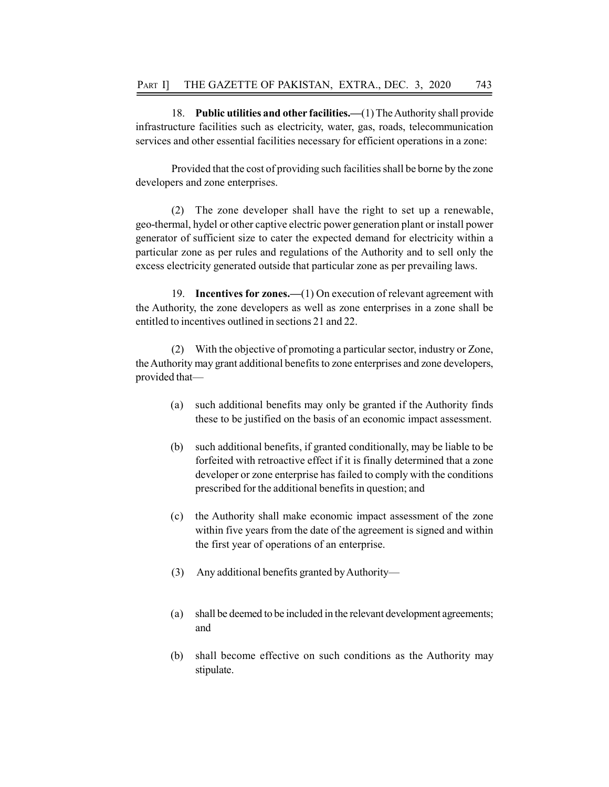18. Public utilities and other facilities.—(1) The Authority shall provide infrastructure facilities such as electricity, water, gas, roads, telecommunication services and other essential facilities necessary for efficient operations in a zone:

Provided that the cost of providing such facilities shall be borne by the zone developers and zone enterprises.

(2) The zone developer shall have the right to set up a renewable, geo-thermal, hydel or other captive electric power generation plant or install power generator of sufficient size to cater the expected demand for electricity within a particular zone as per rules and regulations of the Authority and to sell only the excess electricity generated outside that particular zone as per prevailing laws.

19. **Incentives for zones.** (1) On execution of relevant agreement with the Authority, the zone developers as well as zone enterprises in a zone shall be entitled to incentives outlined in sections 21 and 22.

(2) With the objective of promoting a particular sector, industry or Zone, the Authority may grant additional benefits to zone enterprises and zone developers, provided that—

- (a) such additional benefits may only be granted if the Authority finds these to be justified on the basis of an economic impact assessment.
- (b) such additional benefits, if granted conditionally, may be liable to be forfeited with retroactive effect if it is finally determined that a zone developer or zone enterprise has failed to comply with the conditions prescribed for the additional benefits in question; and
- (c) the Authority shall make economic impact assessment of the zone within five years from the date of the agreement is signed and within the first year of operations of an enterprise.
- (3) Any additional benefits granted by Authority—
- (a) shall be deemed to be included in the relevant development agreements; and
- (b) shall become effective on such conditions as the Authority may stipulate.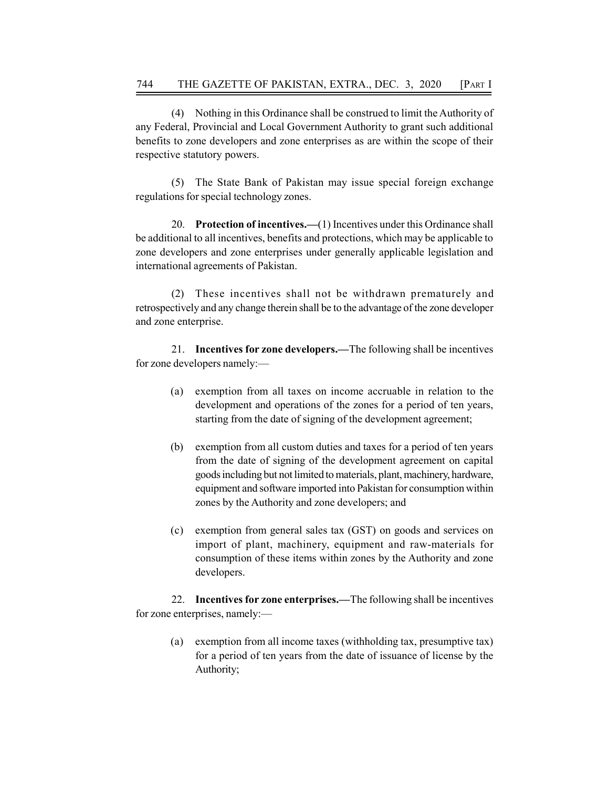(4) Nothing in this Ordinance shall be construed to limit the Authority of any Federal, Provincial and Local Government Authority to grant such additional benefits to zone developers and zone enterprises as are within the scope of their respective statutory powers.

(5) The State Bank of Pakistan may issue special foreign exchange regulations for special technology zones.

20. Protection of incentives.—(1) Incentives under this Ordinance shall be additional to all incentives, benefits and protections, which may be applicable to zone developers and zone enterprises under generally applicable legislation and international agreements of Pakistan.

(2) These incentives shall not be withdrawn prematurely and retrospectively and any change therein shall be to the advantage of the zone developer and zone enterprise.

21. Incentives for zone developers.—The following shall be incentives for zone developers namely:—

- (a) exemption from all taxes on income accruable in relation to the development and operations of the zones for a period of ten years, starting from the date of signing of the development agreement;
- (b) exemption from all custom duties and taxes for a period of ten years from the date of signing of the development agreement on capital goods including but not limited to materials, plant, machinery, hardware, equipment and software imported into Pakistan for consumption within zones by the Authority and zone developers; and
- (c) exemption from general sales tax (GST) on goods and services on import of plant, machinery, equipment and raw-materials for consumption of these items within zones by the Authority and zone developers.

22. Incentives for zone enterprises.—The following shall be incentives for zone enterprises, namely:—

(a) exemption from all income taxes (withholding tax, presumptive tax) for a period of ten years from the date of issuance of license by the Authority;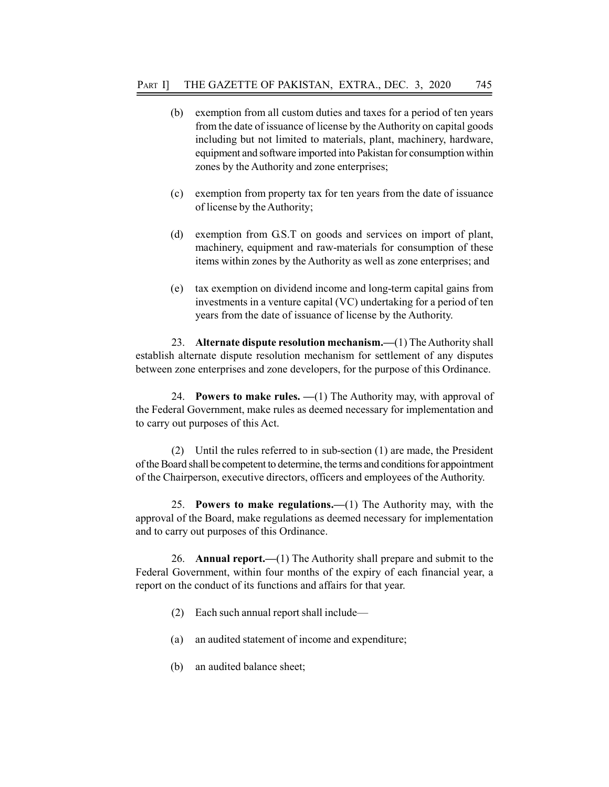- (b) exemption from all custom duties and taxes for a period of ten years from the date of issuance of license by the Authority on capital goods including but not limited to materials, plant, machinery, hardware, equipment and software imported into Pakistan for consumption within zones by the Authority and zone enterprises;
- (c) exemption from property tax for ten years from the date of issuance of license by the Authority;
- (d) exemption from G.S.T on goods and services on import of plant, machinery, equipment and raw-materials for consumption of these items within zones by the Authority as well as zone enterprises; and
- (e) tax exemption on dividend income and long-term capital gains from investments in a venture capital (VC) undertaking for a period of ten years from the date of issuance of license by the Authority.

23. Alternate dispute resolution mechanism.—(1) The Authority shall establish alternate dispute resolution mechanism for settlement of any disputes between zone enterprises and zone developers, for the purpose of this Ordinance.

24. Powers to make rules.  $-(1)$  The Authority may, with approval of the Federal Government, make rules as deemed necessary for implementation and to carry out purposes of this Act.

(2) Until the rules referred to in sub-section (1) are made, the President of the Board shall be competent to determine, the terms and conditions for appointment of the Chairperson, executive directors, officers and employees of the Authority.

25. Powers to make regulations.—(1) The Authority may, with the approval of the Board, make regulations as deemed necessary for implementation and to carry out purposes of this Ordinance.

26. Annual report.—(1) The Authority shall prepare and submit to the Federal Government, within four months of the expiry of each financial year, a report on the conduct of its functions and affairs for that year.

- (2) Each such annual report shall include—
- (a) an audited statement of income and expenditure;
- (b) an audited balance sheet;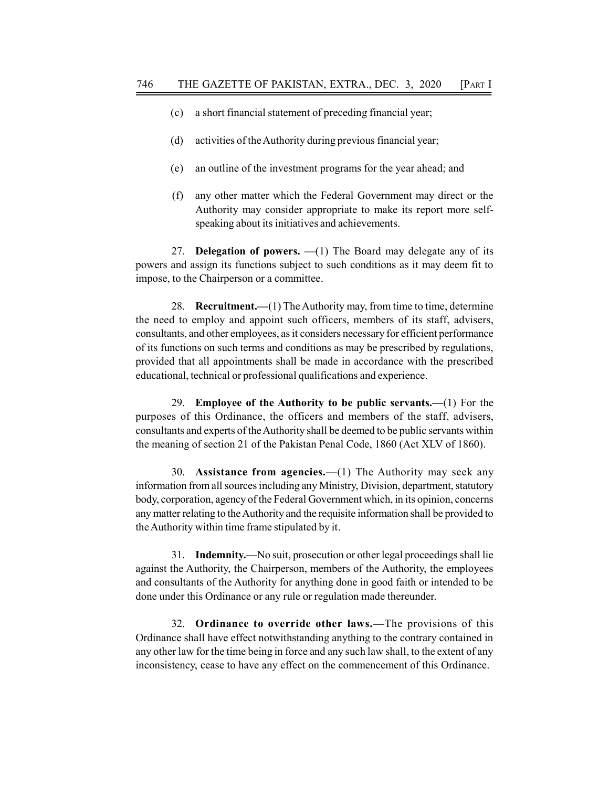- (c) a short financial statement of preceding financial year;
- (d) activities of the Authority during previous financial year;
- (e) an outline of the investment programs for the year ahead; and
- (f) any other matter which the Federal Government may direct or the Authority may consider appropriate to make its report more selfspeaking about its initiatives and achievements.

27. Delegation of powers.  $-(1)$  The Board may delegate any of its powers and assign its functions subject to such conditions as it may deem fit to impose, to the Chairperson or a committee.

28. Recruitment.—(1) The Authority may, from time to time, determine the need to employ and appoint such officers, members of its staff, advisers, consultants, and other employees, as it considers necessary for efficient performance of its functions on such terms and conditions as may be prescribed by regulations, provided that all appointments shall be made in accordance with the prescribed educational, technical or professional qualifications and experience.

29. Employee of the Authority to be public servants.—(1) For the purposes of this Ordinance, the officers and members of the staff, advisers, consultants and experts of the Authority shall be deemed to be public servants within the meaning of section 21 of the Pakistan Penal Code, 1860 (Act XLV of 1860).

30. Assistance from agencies.—(1) The Authority may seek any information from all sources including any Ministry, Division, department, statutory body, corporation, agency of the Federal Government which, in its opinion, concerns any matter relating to the Authority and the requisite information shall be provided to the Authority within time frame stipulated by it.

31. Indemnity.—No suit, prosecution or other legal proceedings shall lie against the Authority, the Chairperson, members of the Authority, the employees and consultants of the Authority for anything done in good faith or intended to be done under this Ordinance or any rule or regulation made thereunder.

32. Ordinance to override other laws.—The provisions of this Ordinance shall have effect notwithstanding anything to the contrary contained in any other law for the time being in force and any such law shall, to the extent of any inconsistency, cease to have any effect on the commencement of this Ordinance.